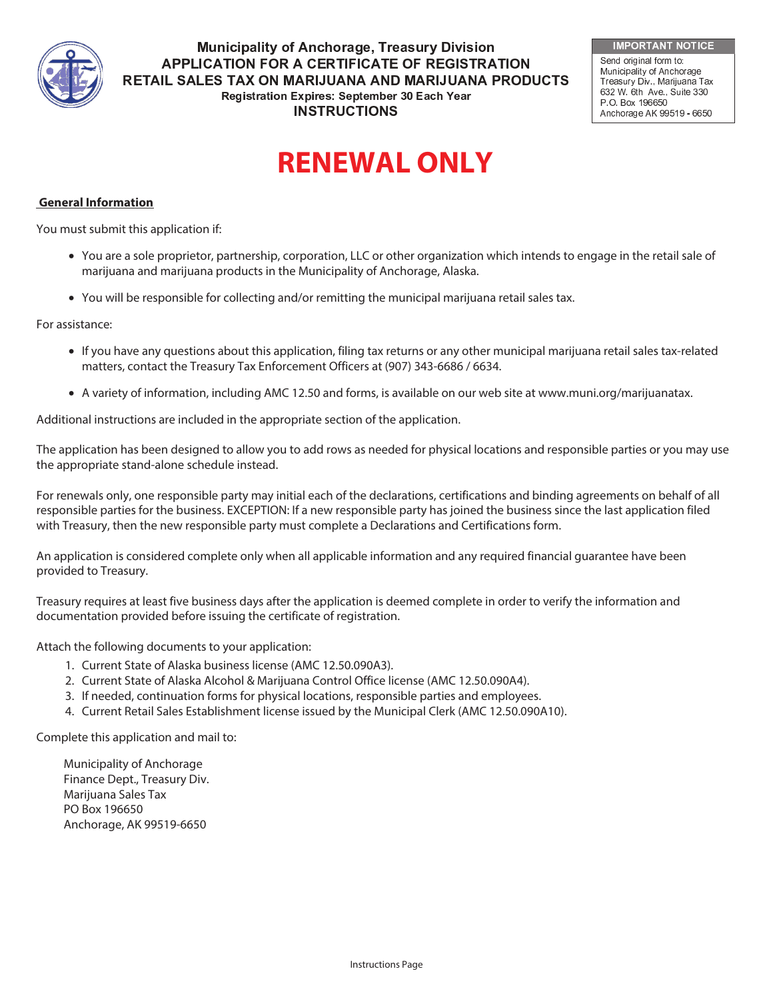

 -  - - **APPLICATION FOR A CERTIFICATE OF REGISTRATION** RETAIL SALES TAX ON MARIJUANA AND MARIJUANA PRODUCTS Registration Expires: September 30 Each Year **INSTRUCTIONS** 

**IMPORTANT NOTICE** 

Send original form to: Municipality of Anchorage Treasury Div., Marijuana Tax 632 W. 6th Ave., Suite 330 P.O. Box 196650 Anchorage AK 99519 - 6650

# **RENEWAL ONLY**

### **General Information**

You must submit this application if:

- You are a sole proprietor, partnership, corporation, LLC or other organization which intends to engage in the retail sale of marijuana and marijuana products in the Municipality of Anchorage, Alaska.
- You will be responsible for collecting and/or remitting the municipal marijuana retail sales tax.

#### For assistance:

- If you have any questions about this application, filing tax returns or any other municipal marijuana retail sales tax-related matters, contact the Treasury Tax Enforcement Officers at (907) 343-6686 / 6634.
- A variety of information, including AMC 12.50 and forms, is available on our web site at www.muni.org/marijuanatax.

Additional instructions are included in the appropriate section of the application.

The application has been designed to allow you to add rows as needed for physical locations and responsible parties or you may use the appropriate stand-alone schedule instead.

For renewals only, one responsible party may initial each of the declarations, certifications and binding agreements on behalf of all responsible parties for the business. EXCEPTION: If a new responsible party has joined the business since the last application filed with Treasury, then the new responsible party must complete a Declarations and Certifications form.

An application is considered complete only when all applicable information and any required financial guarantee have been provided to Treasury.

Treasury requires at least five business days after the application is deemed complete in order to verify the information and documentation provided before issuing the certificate of registration.

Attach the following documents to your application:

- 1. Current State of Alaska business license (AMC 12.50.090A3).
- 2. Current State of Alaska Alcohol & Marijuana Control Office license (AMC 12.50.090A4).
- 3. If needed, continuation forms for physical locations, responsible parties and employees.
- 4. Current Retail Sales Establishment license issued by the Municipal Clerk (AMC 12.50.090A10).

Complete this application and mail to:

Municipality of Anchorage Finance Dept., Treasury Div. Marijuana Sales Tax PO Box 196650 Anchorage, AK 99519-6650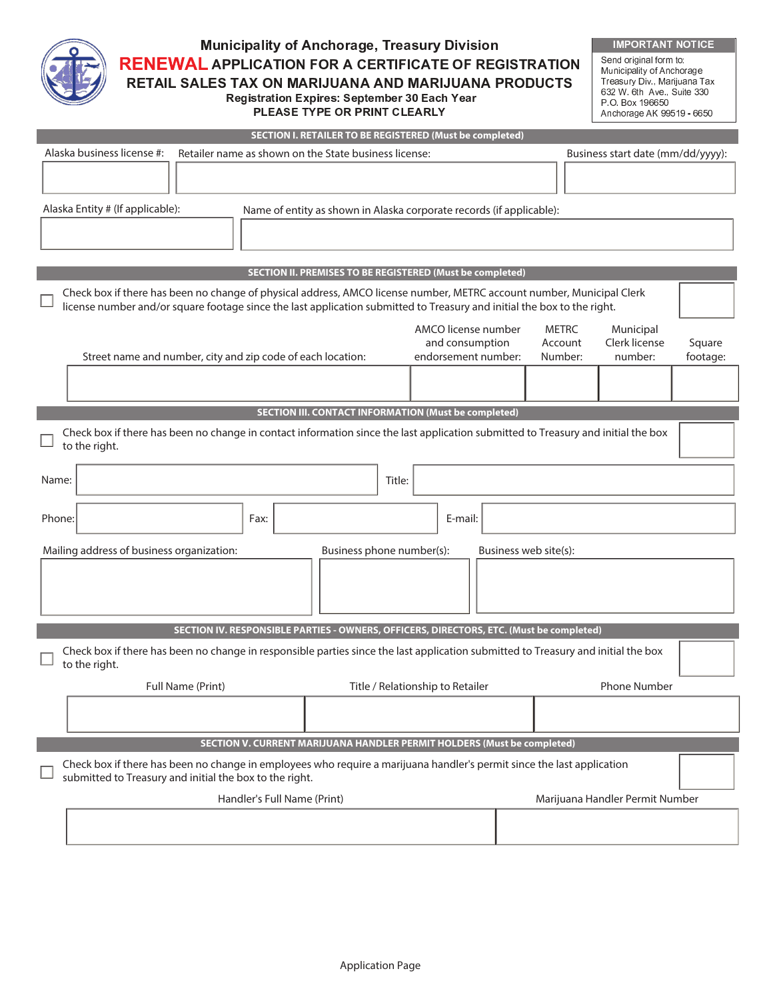

 -  - - **RENEWAL APPLICATION FOR A CERTIFICATE OF REGISTRATION** RETAIL SALES TAX ON MARIJUANA AND MARIJUANA PRODUCTS Registration Expires: September 30 Each Year

PLEASE TYPE OR PRINT CLEARLY

IMPORTANT NOTICE Send original form to: 632 W 6th Ave., Suite 330<br>P.O. Box 196650 Anchorage AK 99519 - 6650

|                                                                                                                                                                                                                                                  |                                                                                                                                                    |      | SECTION I. RETAILER TO BE REGISTERED (Must be completed)             |                                  |                     |                                   |              |                     |          |
|--------------------------------------------------------------------------------------------------------------------------------------------------------------------------------------------------------------------------------------------------|----------------------------------------------------------------------------------------------------------------------------------------------------|------|----------------------------------------------------------------------|----------------------------------|---------------------|-----------------------------------|--------------|---------------------|----------|
|                                                                                                                                                                                                                                                  | Alaska business license #:<br>Retailer name as shown on the State business license:                                                                |      |                                                                      |                                  |                     | Business start date (mm/dd/yyyy): |              |                     |          |
|                                                                                                                                                                                                                                                  |                                                                                                                                                    |      |                                                                      |                                  |                     |                                   |              |                     |          |
|                                                                                                                                                                                                                                                  |                                                                                                                                                    |      |                                                                      |                                  |                     |                                   |              |                     |          |
|                                                                                                                                                                                                                                                  | Alaska Entity # (If applicable):                                                                                                                   |      | Name of entity as shown in Alaska corporate records (if applicable): |                                  |                     |                                   |              |                     |          |
|                                                                                                                                                                                                                                                  |                                                                                                                                                    |      |                                                                      |                                  |                     |                                   |              |                     |          |
|                                                                                                                                                                                                                                                  |                                                                                                                                                    |      |                                                                      |                                  |                     |                                   |              |                     |          |
|                                                                                                                                                                                                                                                  |                                                                                                                                                    |      | SECTION II. PREMISES TO BE REGISTERED (Must be completed)            |                                  |                     |                                   |              |                     |          |
| Check box if there has been no change of physical address, AMCO license number, METRC account number, Municipal Clerk<br>license number and/or square footage since the last application submitted to Treasury and initial the box to the right. |                                                                                                                                                    |      |                                                                      |                                  |                     |                                   |              |                     |          |
|                                                                                                                                                                                                                                                  |                                                                                                                                                    |      |                                                                      |                                  | AMCO license number |                                   | <b>METRC</b> | Municipal           |          |
|                                                                                                                                                                                                                                                  |                                                                                                                                                    |      |                                                                      |                                  | and consumption     |                                   | Account      | Clerk license       | Square   |
|                                                                                                                                                                                                                                                  | Street name and number, city and zip code of each location:                                                                                        |      |                                                                      |                                  | endorsement number: |                                   | Number:      | number:             | footage: |
|                                                                                                                                                                                                                                                  |                                                                                                                                                    |      |                                                                      |                                  |                     |                                   |              |                     |          |
| SECTION III. CONTACT INFORMATION (Must be completed)                                                                                                                                                                                             |                                                                                                                                                    |      |                                                                      |                                  |                     |                                   |              |                     |          |
|                                                                                                                                                                                                                                                  | Check box if there has been no change in contact information since the last application submitted to Treasury and initial the box<br>to the right. |      |                                                                      |                                  |                     |                                   |              |                     |          |
|                                                                                                                                                                                                                                                  |                                                                                                                                                    |      |                                                                      |                                  |                     |                                   |              |                     |          |
| Name:                                                                                                                                                                                                                                            |                                                                                                                                                    |      |                                                                      | Title:                           |                     |                                   |              |                     |          |
| Phone:                                                                                                                                                                                                                                           |                                                                                                                                                    | Fax: |                                                                      |                                  | E-mail:             |                                   |              |                     |          |
|                                                                                                                                                                                                                                                  | Mailing address of business organization:                                                                                                          |      |                                                                      | Business phone number(s):        |                     | Business web site(s):             |              |                     |          |
|                                                                                                                                                                                                                                                  |                                                                                                                                                    |      |                                                                      |                                  |                     |                                   |              |                     |          |
|                                                                                                                                                                                                                                                  |                                                                                                                                                    |      |                                                                      |                                  |                     |                                   |              |                     |          |
| SECTION IV. RESPONSIBLE PARTIES - OWNERS, OFFICERS, DIRECTORS, ETC. (Must be completed)<br>Check box if there has been no change in responsible parties since the last application submitted to Treasury and initial the box<br>to the right.    |                                                                                                                                                    |      |                                                                      |                                  |                     |                                   |              |                     |          |
|                                                                                                                                                                                                                                                  | Full Name (Print)                                                                                                                                  |      |                                                                      | Title / Relationship to Retailer |                     |                                   |              | <b>Phone Number</b> |          |
|                                                                                                                                                                                                                                                  |                                                                                                                                                    |      |                                                                      |                                  |                     |                                   |              |                     |          |
|                                                                                                                                                                                                                                                  |                                                                                                                                                    |      |                                                                      |                                  |                     |                                   |              |                     |          |
| <b>SECTION V. CURRENT MARIJUANA HANDLER PERMIT HOLDERS (Must be completed)</b>                                                                                                                                                                   |                                                                                                                                                    |      |                                                                      |                                  |                     |                                   |              |                     |          |
| Check box if there has been no change in employees who require a marijuana handler's permit since the last application<br>submitted to Treasury and initial the box to the right.                                                                |                                                                                                                                                    |      |                                                                      |                                  |                     |                                   |              |                     |          |
|                                                                                                                                                                                                                                                  | Handler's Full Name (Print)<br>Marijuana Handler Permit Number                                                                                     |      |                                                                      |                                  |                     |                                   |              |                     |          |
|                                                                                                                                                                                                                                                  |                                                                                                                                                    |      |                                                                      |                                  |                     |                                   |              |                     |          |
|                                                                                                                                                                                                                                                  |                                                                                                                                                    |      |                                                                      |                                  |                     |                                   |              |                     |          |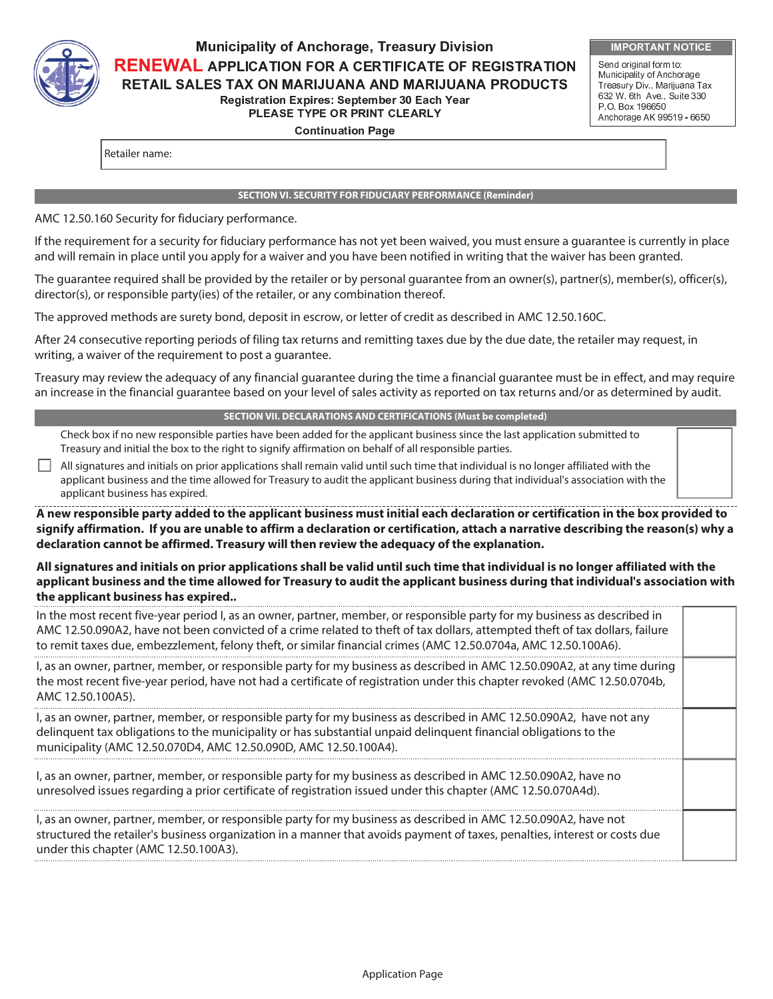

# -  - - **RENEWAL APPLICATION FOR A CERTIFICATE OF REGISTRATION** RETAIL SALES TAX ON MARIJUANA AND MARIJUANA PRODUCTS **Registration Expires: September 30 Each Year** PLEASE TYPE OR PRINT CLEARLY

**IMPORTANT NOTICE** 

Send original form to: Municipality of Anchorage Treasury Div., Marijuana Tax 632 W 6th Ave., Suite 330 P.O. Box 196650 Anchorage AK 99519 - 6650

**Continuation Page** 

Retailer name:

#### **SECTION VI. SECURITY FOR FIDUCIARY PERFORMANCE (Reminder)**

AMC 12.50.160 Security for fiduciary performance.

If the requirement for a security for fiduciary performance has not yet been waived, you must ensure a guarantee is currently in place and will remain in place until you apply for a waiver and you have been notified in writing that the waiver has been granted.

The guarantee required shall be provided by the retailer or by personal guarantee from an owner(s), partner(s), member(s), officer(s), director(s), or responsible party(ies) of the retailer, or any combination thereof.

The approved methods are surety bond, deposit in escrow, or letter of credit as described in AMC 12.50.160C.

After 24 consecutive reporting periods of filing tax returns and remitting taxes due by the due date, the retailer may request, in writing, a waiver of the requirement to post a guarantee.

Treasury may review the adequacy of any financial guarantee during the time a financial guarantee must be in effect, and may require an increase in the financial guarantee based on your level of sales activity as reported on tax returns and/or as determined by audit.

#### **SECTION VII. DECLARATIONS AND CERTIFICATIONS (Must be completed)**

Check box if no new responsible parties have been added for the applicant business since the last application submitted to Treasury and initial the box to the right to signify affirmation on behalf of all responsible parties.

All signatures and initials on prior applications shall remain valid until such time that individual is no longer affiliated with the applicant business and the time allowed for Treasury to audit the applicant business during that individual's association with the applicant business has expired.

**A new responsible party added to the applicant business must initial each declaration or certification in the box provided to signify affirmation. If you are unable to affirm a declaration or certification, attach a narrative describing the reason(s) why a declaration cannot be affirmed. Treasury will then review the adequacy of the explanation.** 

#### **All signatures and initials on prior applications shall be valid until such time that individual is no longer affiliated with the applicant business and the time allowed for Treasury to audit the applicant business during that individual's association with the applicant business has expired..**

| In the most recent five-year period I, as an owner, partner, member, or responsible party for my business as described in<br>AMC 12.50.090A2, have not been convicted of a crime related to theft of tax dollars, attempted theft of tax dollars, failure<br>to remit taxes due, embezzlement, felony theft, or similar financial crimes (AMC 12.50.0704a, AMC 12.50.100A6). |  |
|------------------------------------------------------------------------------------------------------------------------------------------------------------------------------------------------------------------------------------------------------------------------------------------------------------------------------------------------------------------------------|--|
| I, as an owner, partner, member, or responsible party for my business as described in AMC 12.50.090A2, at any time during<br>the most recent five-year period, have not had a certificate of registration under this chapter revoked (AMC 12.50.0704b,<br>AMC 12.50.100A5).                                                                                                  |  |
| I, as an owner, partner, member, or responsible party for my business as described in AMC 12.50.090A2, have not any<br>delinguent tax obligations to the municipality or has substantial unpaid delinguent financial obligations to the<br>municipality (AMC 12.50.070D4, AMC 12.50.090D, AMC 12.50.100A4).                                                                  |  |
| I, as an owner, partner, member, or responsible party for my business as described in AMC 12.50.090A2, have no<br>unresolved issues regarding a prior certificate of registration issued under this chapter (AMC 12.50.070A4d).                                                                                                                                              |  |
| I, as an owner, partner, member, or responsible party for my business as described in AMC 12.50.090A2, have not<br>structured the retailer's business organization in a manner that avoids payment of taxes, penalties, interest or costs due<br>under this chapter (AMC 12.50.100A3).                                                                                       |  |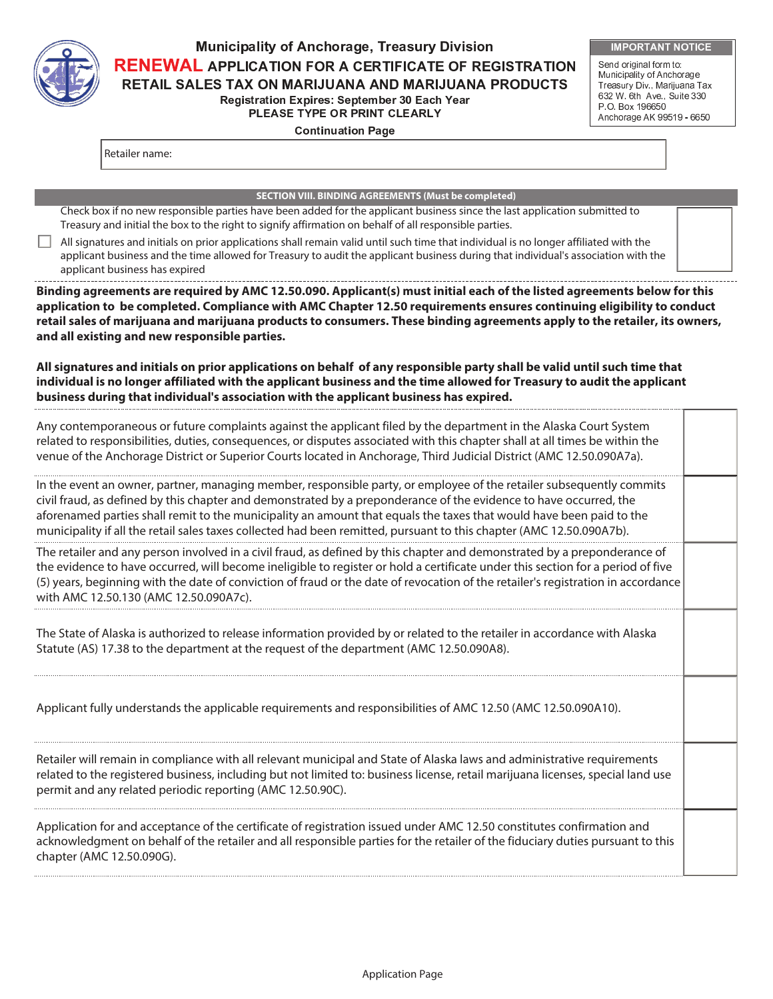

# -  - - **RENEWAL APPLICATION FOR A CERTIFICATE OF REGISTRATION** RETAIL SALES TAX ON MARIJUANA AND MARIJUANA PRODUCTS **Registration Expires: September 30 Each Year** PLEASE TYPE OR PRINT CLEARLY

**IMPORTANT NOTICE** 

Send original form to: Municipality of Anchorage Treasury Div., Marijuana Tax 632 W. 6th Ave., Suite 330 P.O. Box 196650 Anchorage AK 99519 - 6650

**Continuation Page** 

Retailer name:

#### **SECTION VIII. BINDING AGREEMENTS (Must be completed)**

Check box if no new responsible parties have been added for the applicant business since the last application submitted to Treasury and initial the box to the right to signify affirmation on behalf of all responsible parties.

All signatures and initials on prior applications shall remain valid until such time that individual is no longer affiliated with the applicant business and the time allowed for Treasury to audit the applicant business during that individual's association with the applicant business has expired

**Binding agreements are required by AMC 12.50.090. Applicant(s) must initial each of the listed agreements below for this application to be completed. Compliance with AMC Chapter 12.50 requirements ensures continuing eligibility to conduct retail sales of marijuana and marijuana products to consumers. These binding agreements apply to the retailer, its owners, and all existing and new responsible parties.** 

**All signatures and initials on prior applications on behalf of any responsible party shall be valid until such time that individual is no longer affiliated with the applicant business and the time allowed for Treasury to audit the applicant business during that individual's association with the applicant business has expired.**

| Any contemporaneous or future complaints against the applicant filed by the department in the Alaska Court System<br>related to responsibilities, duties, consequences, or disputes associated with this chapter shall at all times be within the<br>venue of the Anchorage District or Superior Courts located in Anchorage, Third Judicial District (AMC 12.50.090A7a).                                                                                                                |  |
|------------------------------------------------------------------------------------------------------------------------------------------------------------------------------------------------------------------------------------------------------------------------------------------------------------------------------------------------------------------------------------------------------------------------------------------------------------------------------------------|--|
| In the event an owner, partner, managing member, responsible party, or employee of the retailer subsequently commits<br>civil fraud, as defined by this chapter and demonstrated by a preponderance of the evidence to have occurred, the<br>aforenamed parties shall remit to the municipality an amount that equals the taxes that would have been paid to the<br>municipality if all the retail sales taxes collected had been remitted, pursuant to this chapter (AMC 12.50.090A7b). |  |
| The retailer and any person involved in a civil fraud, as defined by this chapter and demonstrated by a preponderance of<br>the evidence to have occurred, will become ineligible to register or hold a certificate under this section for a period of five<br>(5) years, beginning with the date of conviction of fraud or the date of revocation of the retailer's registration in accordance<br>with AMC 12.50.130 (AMC 12.50.090A7c).                                                |  |
| The State of Alaska is authorized to release information provided by or related to the retailer in accordance with Alaska<br>Statute (AS) 17.38 to the department at the request of the department (AMC 12.50.090A8).                                                                                                                                                                                                                                                                    |  |
| Applicant fully understands the applicable requirements and responsibilities of AMC 12.50 (AMC 12.50.090A10).                                                                                                                                                                                                                                                                                                                                                                            |  |
| Retailer will remain in compliance with all relevant municipal and State of Alaska laws and administrative requirements<br>related to the registered business, including but not limited to: business license, retail marijuana licenses, special land use<br>permit and any related periodic reporting (AMC 12.50.90C).                                                                                                                                                                 |  |
| Application for and acceptance of the certificate of registration issued under AMC 12.50 constitutes confirmation and<br>acknowledgment on behalf of the retailer and all responsible parties for the retailer of the fiduciary duties pursuant to this<br>chapter (AMC 12.50.090G).                                                                                                                                                                                                     |  |